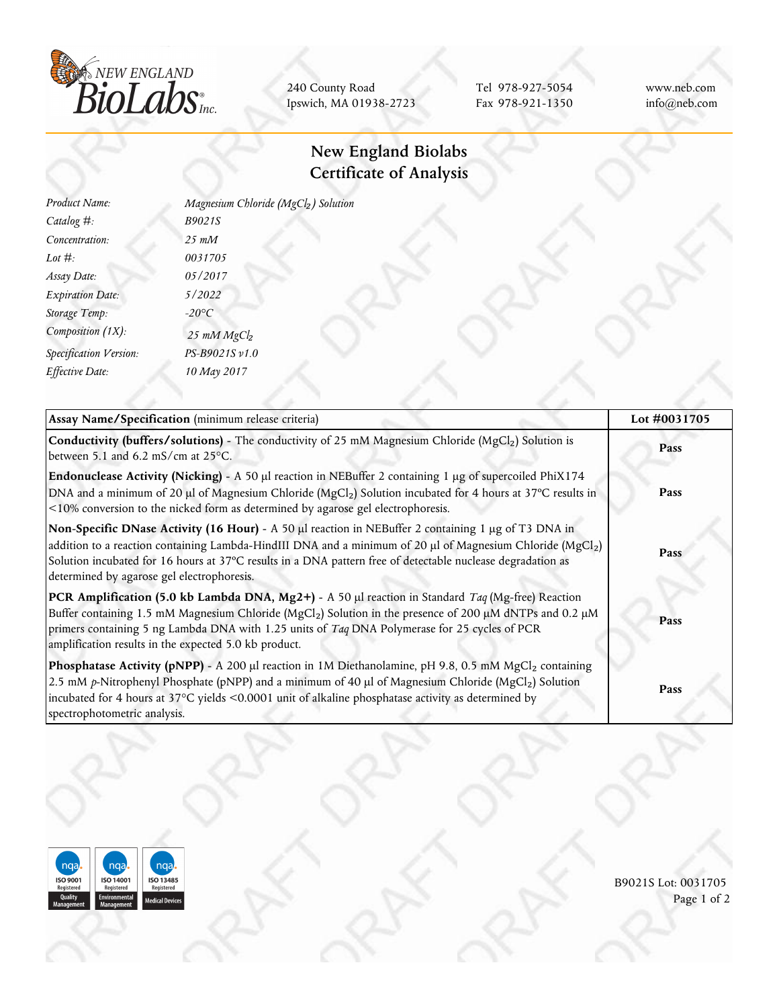

240 County Road Ipswich, MA 01938-2723

Tel 978-927-5054 Fax 978-921-1350 www.neb.com info@neb.com

## **New England Biolabs Certificate of Analysis**

| Product Name:           | Magnesium Chloride (MgCl2) Solution |
|-------------------------|-------------------------------------|
| Catalog $#$ :           | B9021S                              |
| Concentration:          | $25$ m $M$                          |
| Lot $#$ :               | 0031705                             |
| Assay Date:             | 05/2017                             |
| <b>Expiration Date:</b> | 5/2022                              |
| Storage Temp:           | $-20^{\circ}C$                      |
| Composition (1X):       | 25 mM MgCl <sub>2</sub>             |
| Specification Version:  | PS-B9021S v1.0                      |
| Effective Date:         | 10 May 2017                         |
|                         |                                     |

| Assay Name/Specification (minimum release criteria)                                                                                                                                                                                                                                                                                                                                               | Lot #0031705<br>Pass |
|---------------------------------------------------------------------------------------------------------------------------------------------------------------------------------------------------------------------------------------------------------------------------------------------------------------------------------------------------------------------------------------------------|----------------------|
| <b>Conductivity (buffers/solutions)</b> - The conductivity of 25 mM Magnesium Chloride (MgCl <sub>2</sub> ) Solution is<br>between 5.1 and 6.2 mS/cm at $25^{\circ}$ C.                                                                                                                                                                                                                           |                      |
| Endonuclease Activity (Nicking) - A 50 µl reaction in NEBuffer 2 containing 1 µg of supercoiled PhiX174<br>DNA and a minimum of 20 µl of Magnesium Chloride (MgCl <sub>2</sub> ) Solution incubated for 4 hours at 37°C results in<br><10% conversion to the nicked form as determined by agarose gel electrophoresis.                                                                            | Pass                 |
| Non-Specific DNase Activity (16 Hour) - A 50 µl reaction in NEBuffer 2 containing 1 µg of T3 DNA in<br>addition to a reaction containing Lambda-HindIII DNA and a minimum of 20 µl of Magnesium Chloride (MgCl <sub>2</sub> )<br>Solution incubated for 16 hours at 37°C results in a DNA pattern free of detectable nuclease degradation as<br>determined by agarose gel electrophoresis.        | Pass                 |
| <b>PCR Amplification (5.0 kb Lambda DNA, Mg2+)</b> - A 50 µl reaction in Standard <i>Taq</i> (Mg-free) Reaction<br>Buffer containing 1.5 mM Magnesium Chloride (MgCl <sub>2</sub> ) Solution in the presence of 200 µM dNTPs and 0.2 µM<br>primers containing 5 ng Lambda DNA with 1.25 units of Taq DNA Polymerase for 25 cycles of PCR<br>amplification results in the expected 5.0 kb product. | Pass                 |
| Phosphatase Activity (pNPP) - A 200 µl reaction in 1M Diethanolamine, pH 9.8, 0.5 mM MgCl2 containing<br>2.5 mM p-Nitrophenyl Phosphate (pNPP) and a minimum of 40 µl of Magnesium Chloride (MgCl <sub>2</sub> ) Solution<br>incubated for 4 hours at 37°C yields <0.0001 unit of alkaline phosphatase activity as determined by<br>spectrophotometric analysis.                                  | Pass                 |



B9021S Lot: 0031705 Page 1 of 2